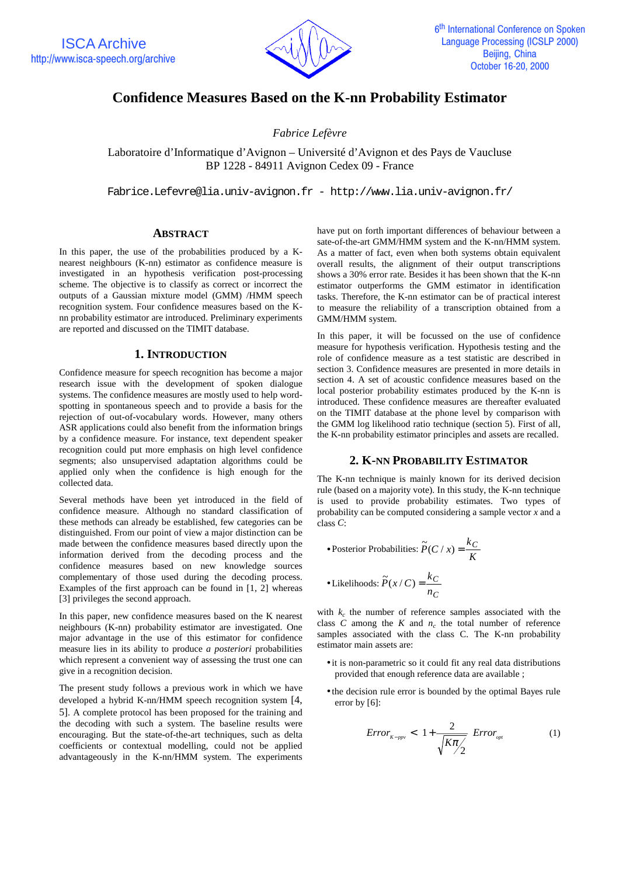

# **Confidence Measures Based on the K-nn Probability Estimator**

*Fabrice Lefèvre*

Laboratoire d'Informatique d'Avignon – Université d'Avignon et des Pays de Vaucluse BP 1228 - 84911 Avignon Cedex 09 - France

Fabrice.Lefevre@lia.univ-avignon.fr - http://www.lia.univ-avignon.fr/

## **ABSTRACT**

In this paper, the use of the probabilities produced by a Knearest neighbours (K-nn) estimator as confidence measure is investigated in an hypothesis verification post-processing scheme. The objective is to classify as correct or incorrect the outputs of a Gaussian mixture model (GMM) /HMM speech recognition system. Four confidence measures based on the Knn probability estimator are introduced. Preliminary experiments are reported and discussed on the TIMIT database.

## **1. INTRODUCTION**

Confidence measure for speech recognition has become a major research issue with the development of spoken dialogue systems. The confidence measures are mostly used to help wordspotting in spontaneous speech and to provide a basis for the rejection of out-of-vocabulary words. However, many others ASR applications could also benefit from the information brings by a confidence measure. For instance, text dependent speaker recognition could put more emphasis on high level confidence segments; also unsupervised adaptation algorithms could be applied only when the confidence is high enough for the collected data.

Several methods have been yet introduced in the field of confidence measure. Although no standard classification of these methods can already be established, few categories can be distinguished. From our point of view a major distinction can be made between the confidence measures based directly upon the information derived from the decoding process and the confidence measures based on new knowledge sources complementary of those used during the decoding process. Examples of the first approach can be found in [1, 2] whereas [3] privileges the second approach.

In this paper, new confidence measures based on the K nearest neighbours (K-nn) probability estimator are investigated. One major advantage in the use of this estimator for confidence measure lies in its ability to produce *a posteriori* probabilities which represent a convenient way of assessing the trust one can give in a recognition decision.

The present study follows a previous work in which we have developed a hybrid K-nn/HMM speech recognition system [4, 5]. A complete protocol has been proposed for the training and the decoding with such a system. The baseline results were encouraging. But the state-of-the-art techniques, such as delta coefficients or contextual modelling, could not be applied advantageously in the K-nn/HMM system. The experiments

have put on forth important differences of behaviour between a sate-of-the-art GMM/HMM system and the K-nn/HMM system. As a matter of fact, even when both systems obtain equivalent overall results, the alignment of their output transcriptions shows a 30% error rate. Besides it has been shown that the K-nn estimator outperforms the GMM estimator in identification tasks. Therefore, the K-nn estimator can be of practical interest to measure the reliability of a transcription obtained from a GMM/HMM system.

In this paper, it will be focussed on the use of confidence measure for hypothesis verification. Hypothesis testing and the role of confidence measure as a test statistic are described in section 3. Confidence measures are presented in more details in section 4. A set of acoustic confidence measures based on the local posterior probability estimates produced by the K-nn is introduced. These confidence measures are thereafter evaluated on the TIMIT database at the phone level by comparison with the GMM log likelihood ratio technique (section 5). First of all, the K-nn probability estimator principles and assets are recalled.

## **2. K-NN PROBABILITY ESTIMATOR**

The K-nn technique is mainly known for its derived decision rule (based on a majority vote). In this study, the K-nn technique is used to provide probability estimates. Two types of probability can be computed considering a sample vector *x* and a class *C*:

\n- Posterior Probabilities: 
$$
\widetilde{P}(C \mid x) = \frac{k_C}{K}
$$
\n- Likelihoods:  $\widetilde{P}(x \mid C) = \frac{k_C}{n_C}$
\n

with  $k_c$  the number of reference samples associated with the class *C* among the *K* and  $n_c$  the total number of reference samples associated with the class C. The K-nn probability estimator main assets are:

- it is non-parametric so it could fit any real data distributions provided that enough reference data are available ;
- the decision rule error is bounded by the optimal Bayes rule error by [6]:

$$
Error_{K-ppv} < \left[1 + \frac{2}{\sqrt{K\pi/2}}\right] Error_{opt}
$$
 (1)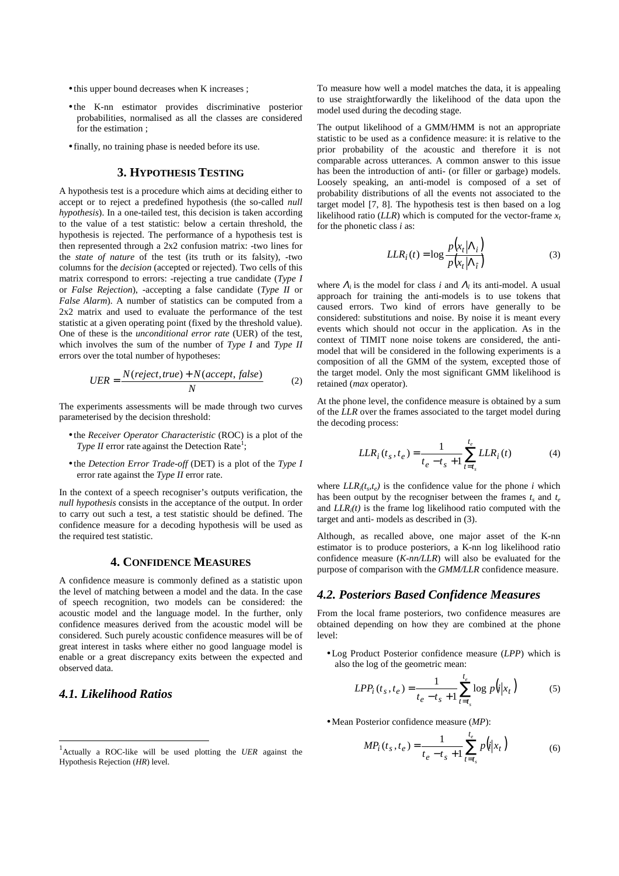- this upper bound decreases when K increases ;
- the K-nn estimator provides discriminative posterior probabilities, normalised as all the classes are considered for the estimation ;
- finally, no training phase is needed before its use.

## **3. HYPOTHESIS TESTING**

A hypothesis test is a procedure which aims at deciding either to accept or to reject a predefined hypothesis (the so-called *null hypothesis*). In a one-tailed test, this decision is taken according to the value of a test statistic: below a certain threshold, the hypothesis is rejected. The performance of a hypothesis test is then represented through a 2x2 confusion matrix: -two lines for the *state of nature* of the test (its truth or its falsity), -two columns for the *decision* (accepted or rejected). Two cells of this matrix correspond to errors: -rejecting a true candidate (*Type I* or *False Rejection*), -accepting a false candidate (*Type II* or *False Alarm*). A number of statistics can be computed from a 2x2 matrix and used to evaluate the performance of the test statistic at a given operating point (fixed by the threshold value). One of these is the *unconditional error rate* (UER) of the test, which involves the sum of the number of *Type I* and *Type II* errors over the total number of hypotheses:

$$
UER = \frac{N(reject,true) + N(accept, false)}{N}
$$
 (2)

The experiments assessments will be made through two curves parameterised by the decision threshold:

- the *Receiver Operator Characteristic* (ROC) is a plot of the Type II error rate against the Detection Rate<sup>1</sup>;
- the *Detection Error Trade-off* (DET) is a plot of the *Type I* error rate against the *Type II* error rate.

In the context of a speech recogniser's outputs verification, the *null hypothesis* consists in the acceptance of the output. In order to carry out such a test, a test statistic should be defined. The confidence measure for a decoding hypothesis will be used as the required test statistic.

#### **4. CONFIDENCE MEASURES**

A confidence measure is commonly defined as a statistic upon the level of matching between a model and the data. In the case of speech recognition, two models can be considered: the acoustic model and the language model. In the further, only confidence measures derived from the acoustic model will be considered. Such purely acoustic confidence measures will be of great interest in tasks where either no good language model is enable or a great discrepancy exits between the expected and observed data.

## *4.1. Likelihood Ratios*

 $\overline{a}$ 

To measure how well a model matches the data, it is appealing to use straightforwardly the likelihood of the data upon the model used during the decoding stage.

The output likelihood of a GMM/HMM is not an appropriate statistic to be used as a confidence measure: it is relative to the prior probability of the acoustic and therefore it is not comparable across utterances. A common answer to this issue has been the introduction of anti- (or filler or garbage) models. Loosely speaking, an anti-model is composed of a set of probability distributions of all the events not associated to the target model [7, 8]. The hypothesis test is then based on a log likelihood ratio ( $LLR$ ) which is computed for the vector-frame  $x_t$ for the phonetic class *i* as:

$$
LLR_i(t) = \log \frac{p(x_t|\Lambda_i)}{p(x_t|\Lambda_i)}
$$
(3)

where  $\Lambda_i$  is the model for class *i* and  $\Lambda_i$  its anti-model. A usual approach for training the anti-models is to use tokens that caused errors. Two kind of errors have generally to be considered: substitutions and noise. By noise it is meant every events which should not occur in the application. As in the context of TIMIT none noise tokens are considered, the antimodel that will be considered in the following experiments is a composition of all the GMM of the system, excepted those of the target model. Only the most significant GMM likelihood is retained (*max* operator).

At the phone level, the confidence measure is obtained by a sum of the *LLR* over the frames associated to the target model during the decoding process:

$$
LLR_i(t_s, t_e) = \frac{1}{t_e - t_s + 1} \sum_{t=t_s}^{t_e} LLR_i(t)
$$
 (4)

where  $LLR_i(t_s,t_e)$  is the confidence value for the phone *i* which has been output by the recogniser between the frames  $t_s$  and  $t_e$ and *LLRi(t)* is the frame log likelihood ratio computed with the target and anti- models as described in (3).

Although, as recalled above, one major asset of the K-nn estimator is to produce posteriors, a K-nn log likelihood ratio confidence measure (*K-nn/LLR*) will also be evaluated for the purpose of comparison with the *GMM/LLR* confidence measure.

#### *4.2. Posteriors Based Confidence Measures*

From the local frame posteriors, two confidence measures are obtained depending on how they are combined at the phone level:

• Log Product Posterior confidence measure (*LPP*) which is also the log of the geometric mean:

$$
LPP_i(t_s, t_e) = \frac{1}{t_e - t_s + 1} \sum_{t=t_s}^{t_e} \log p(i|x_t)
$$
 (5)

• Mean Posterior confidence measure (*MP*):

$$
MP_i(t_s, t_e) = \frac{1}{t_e - t_s + 1} \sum_{t=t_s}^{t_e} p(i|x_t)
$$
 (6)

<sup>1</sup> Actually a ROC-like will be used plotting the *UER* against the Hypothesis Rejection (*HR*) level.